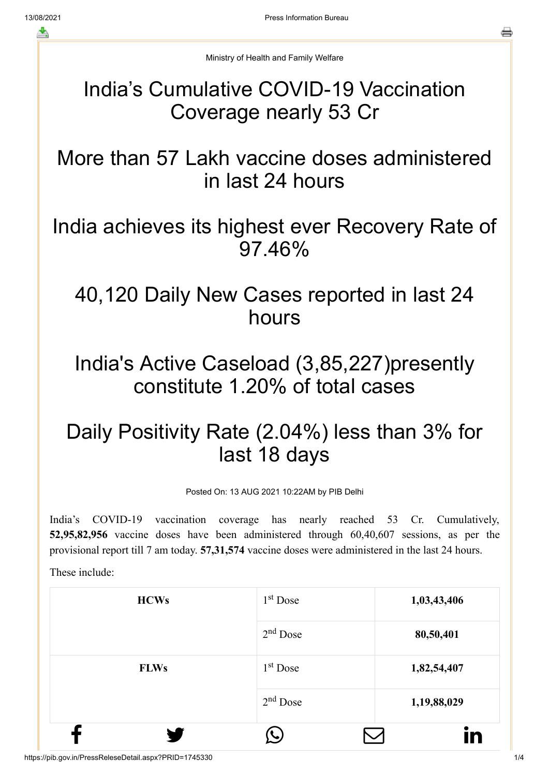Ministry of Health and Family Welfare

## India's Cumulative COVID-19 Vaccination Coverage nearly 53 Cr

More than 57 Lakh vaccine doses administered in last 24 hours

India achieves its highest ever Recovery Rate of 97.46%

## 40,120 Daily New Cases reported in last 24 hours

## India's Active Caseload (3,85,227)presently constitute 1.20% of total cases

## Daily Positivity Rate (2.04%) less than 3% for last 18 days

Posted On: 13 AUG 2021 10:22AM by PIB Delhi

India's COVID-19 vaccination coverage has nearly reached 53 Cr. Cumulatively, **52,95,82,956** vaccine doses have been administered through 60,40,607 sessions, as per the provisional report till 7 am today. **57,31,574** vaccine doses were administered in the last 24 hours.

These include:

| <b>HCWs</b> | 1 <sup>st</sup> Dose | 1,03,43,406 |
|-------------|----------------------|-------------|
|             | $2nd$ Dose           | 80,50,401   |
| <b>FLWs</b> | $1st$ Dose           | 1,82,54,407 |
|             | $2nd$ Dose           | 1,19,88,029 |
|             |                      | IN          |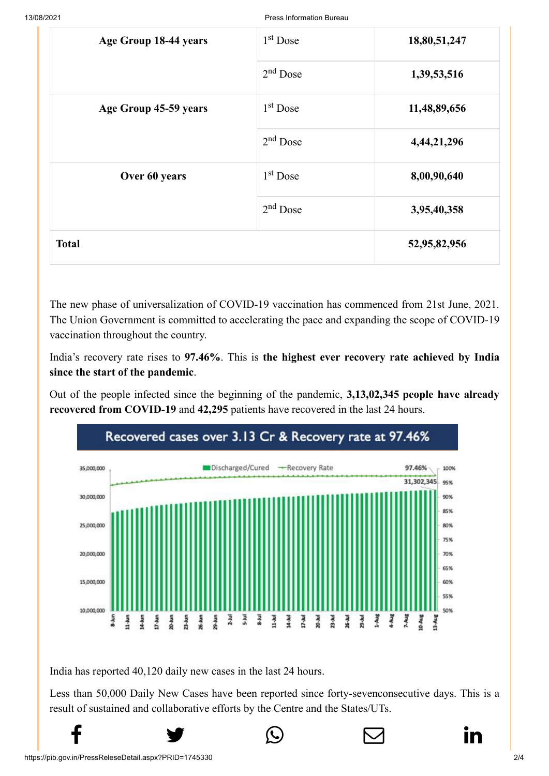| Age Group 18-44 years | $1st$ Dose           | 18,80,51,247 |
|-----------------------|----------------------|--------------|
|                       | $2nd$ Dose           | 1,39,53,516  |
| Age Group 45-59 years | $1st$ Dose           | 11,48,89,656 |
|                       | $2nd$ Dose           | 4,44,21,296  |
| Over 60 years         | 1 <sup>st</sup> Dose | 8,00,90,640  |
|                       | $2nd$ Dose           | 3,95,40,358  |
| <b>Total</b>          |                      | 52,95,82,956 |

The new phase of universalization of COVID-19 vaccination has commenced from 21st June, 2021. The Union Government is committed to accelerating the pace and expanding the scope of COVID-19 vaccination throughout the country.

India's recovery rate rises to **97.46%**. This is **the highest ever recovery rate achieved by India since the start of the pandemic**.

Out of the people infected since the beginning of the pandemic, **3,13,02,345 people have already recovered from COVID-19** and **42,295** patients have recovered in the last 24 hours.



India has reported 40,120 daily new cases in the last 24 hours.

Less than 50,000 Daily New Cases have been reported since forty-sevenconsecutive days. This is a result of sustained and collaborative efforts by the Centre and the States/UTs.

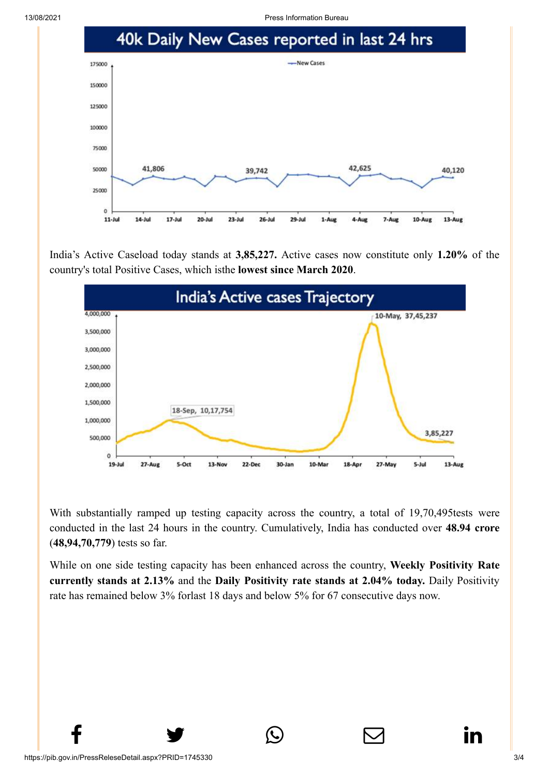



India's Active Caseload today stands at **3,85,227.** Active cases now constitute only **1.20%** of the country's total Positive Cases, which isthe **lowest since March 2020**.



With substantially ramped up testing capacity across the country, a total of 19,70,495tests were conducted in the last 24 hours in the country. Cumulatively, India has conducted over **48.94 crore** (**48,94,70,779**) tests so far.

While on one side testing capacity has been enhanced across the country, **Weekly Positivity Rate currently stands at 2.13%** and the **Daily Positivity rate stands at 2.04% today.** Daily Positivity rate has remained below 3% forlast 18 days and below 5% for 67 consecutive days now.

 $f$  y  $\circledcirc$   $\quad \circledcirc$  in